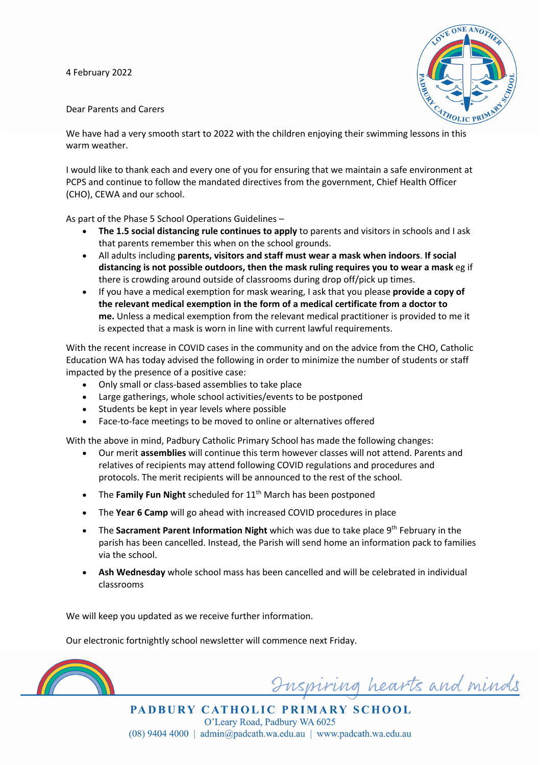4 February 2022



## Dear Parents and Carers

We have had a very smooth start to 2022 with the children enjoying their swimming lessons in this warm weather.

I would like to thank each and every one of you for ensuring that we maintain a safe environment at PCPS and continue to follow the mandated directives from the government, Chief Health Officer (CHO), CEWA and our school.

As part of the Phase 5 School Operations Guidelines –

- **The 1.5 social distancing rule continues to apply** to parents and visitors in schools and I ask that parents remember this when on the school grounds.
- All adults including **parents, visitors and staff must wear a mask when indoors**. **If social distancing is not possible outdoors, then the mask ruling requires you to wear a mask** eg if there is crowding around outside of classrooms during drop off/pick up times.
- If you have a medical exemption for mask wearing, I ask that you please **provide a copy of the relevant medical exemption in the form of a medical certificate from a doctor to me.** Unless a medical exemption from the relevant medical practitioner is provided to me it is expected that a mask is worn in line with current lawful requirements.

With the recent increase in COVID cases in the community and on the advice from the CHO, Catholic Education WA has today advised the following in order to minimize the number of students or staff impacted by the presence of a positive case:

- Only small or class-based assemblies to take place
- Large gatherings, whole school activities/events to be postponed
- Students be kept in year levels where possible
- Face-to-face meetings to be moved to online or alternatives offered

With the above in mind, Padbury Catholic Primary School has made the following changes:

- Our merit **assemblies** will continue this term however classes will not attend. Parents and relatives of recipients may attend following COVID regulations and procedures and protocols. The merit recipients will be announced to the rest of the school.
- The **Family Fun Night** scheduled for 11<sup>th</sup> March has been postponed
- The **Year 6 Camp** will go ahead with increased COVID procedures in place
- The **Sacrament Parent Information Night** which was due to take place 9th February in the parish has been cancelled. Instead, the Parish will send home an information pack to families via the school.
- **Ash Wednesday** whole school mass has been cancelled and will be celebrated in individual classrooms

We will keep you updated as we receive further information.

Our electronic fortnightly school newsletter will commence next Friday.



Inspiring hearts and minds